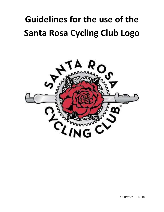# **Guidelines for the use of the Santa Rosa Cycling Club Logo**

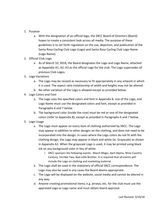#### 1. Purpose

- a. With the designation of an official logo, the SRCC Board of Directors (Board) hopes to create a consistent look across all media. The purpose of these guidelines is to set forth regulation on the use, depiction, and publication of the Santa Rosa Cycling Club Logo (Logo) and Santa Rosa Cycling Club Logo Name (Logo Name).
- 2. Official Club Logo
	- a. As of March 10, 2018, the Board designates the Logo and Logo Name, attached as Appendix A1, A2, A3 as the official Logo for the club. The Logo supersedes all previous Club Logos.
- 3. Logo Variations
	- a. The Logo may be resized as necessary to fit appropriately in any artwork in which it is used. The aspect ratio (relationship of width and height) may not be altered.
	- b. No other variation of the Logo is allowed except as provided below.
- 4. Logo Colors and Font
	- a. The Logo uses the specified colors and font in Appendix B. Use of the Logo, and Logo Name must use the designated colors and font, except as provided in Paragraphs 6 and 7 below.
	- b. The background color (inside the rose) must be red or one of the designated colors (refer to Appendix B), except as provided in Paragraphs 6 and 7 below.
- 5. Logo Usage
	- a. The Logo must appear on every item of clothing authorized by SRCC. The Logo may appear in addition to other designs on the clothing, and does not need to be incorporated into the design. In cases where the Logo colors do not fit with the clothing design, the Logo may appear in black and white (ie. Grayscale) as shown in Appendix A2. When the grayscale Logo is used, it may be printed using black ink on any background color in lieu of white.
		- i. SRCC sponsors the following events: March Magic, April Alpina, Wine Country Century, Terrible Two, Bad Little Brother. It is required that all events will include the Logo on clothing and marketing material.
	- b. The Logo shall be used in the stationery of official SRCC correspondence. The Logo may also be used in any cases the Board deems appropriate.
	- c. The Logo will be displayed on the website, social media and cannot be altered in any way.
	- d. Anyone creating promotional items, e.g. jerseys, etc, for the club must use the approved Logo or Logo name and must obtain board approval.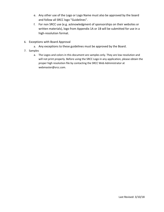- e. Any other use of the Logo or Logo Name must also be approved by the board and follow all SRCC logo "Guidelines".
- f. For non SRCC use (e.g. acknowledgment of sponsorships on their websites or written materials), logo from Appendix 1A or 1B will be submitted for use in a high-resolution format.
- 6. Exceptions with Board Approval
	- a. Any exceptions to these guidelines must be approved by the Board.
- 7. Samples
	- a. The Logos and colors in this document are samples only. They are low resolution and will not print properly. Before using the SRCC Logo in any application, please obtain the proper high resolution file by contacting the SRCC Web Administrator at webmaster@srcc.com.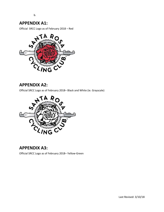b.

#### **APPENDIX A1:**

Official SRCC Logo as of February 2018 – Red



## **APPENDIX A2:**

Official SRCC Logo as of February 2018– Black and White (ie. Grayscale)



# **APPENDIX A3:**

Official SRCC Logo as of February 2018– Yellow-Green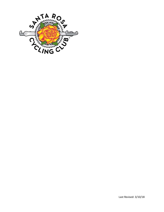